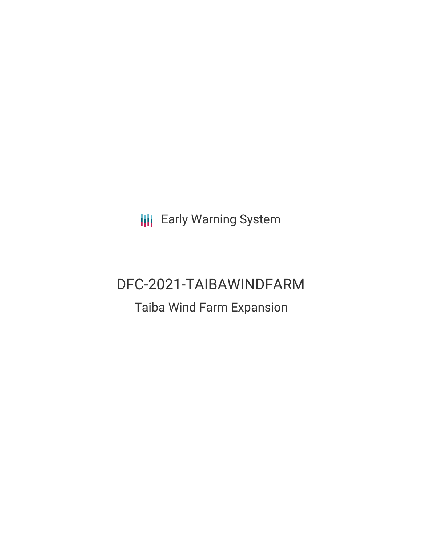**III** Early Warning System

# DFC-2021-TAIBAWINDFARM

## Taiba Wind Farm Expansion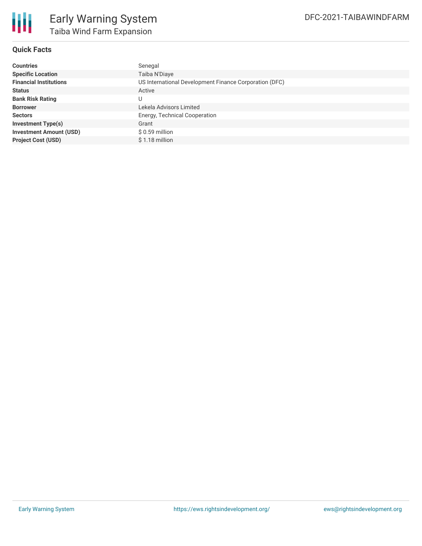

#### **Quick Facts**

| <b>Countries</b>               | Senegal                                                |
|--------------------------------|--------------------------------------------------------|
| <b>Specific Location</b>       | Taiba N'Diaye                                          |
| <b>Financial Institutions</b>  | US International Development Finance Corporation (DFC) |
| <b>Status</b>                  | Active                                                 |
| <b>Bank Risk Rating</b>        | U                                                      |
| <b>Borrower</b>                | Lekela Advisors Limited                                |
| <b>Sectors</b>                 | Energy, Technical Cooperation                          |
| <b>Investment Type(s)</b>      | Grant                                                  |
| <b>Investment Amount (USD)</b> | $$0.59$ million                                        |
| <b>Project Cost (USD)</b>      | \$1.18 million                                         |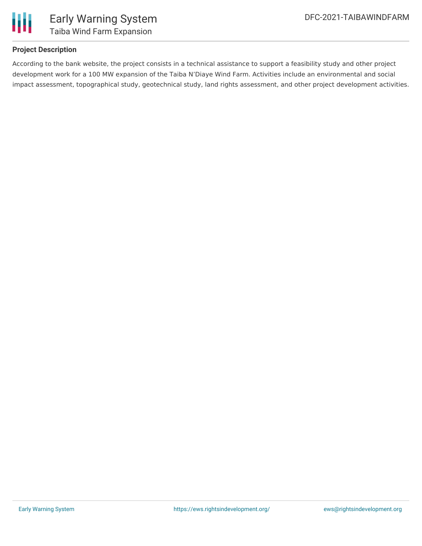

### **Project Description**

According to the bank website, the project consists in a technical assistance to support a feasibility study and other project development work for a 100 MW expansion of the Taiba N'Diaye Wind Farm. Activities include an environmental and social impact assessment, topographical study, geotechnical study, land rights assessment, and other project development activities.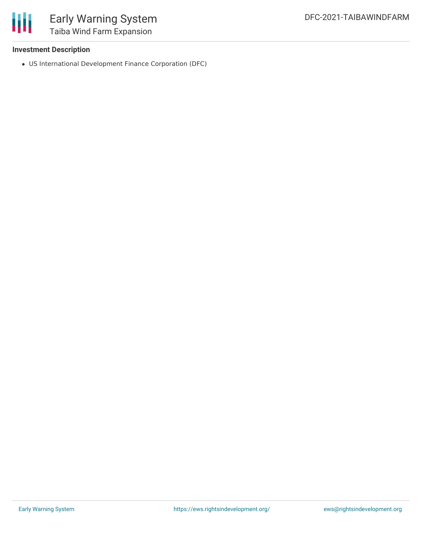

### Early Warning System Taiba Wind Farm Expansion

### **Investment Description**

US International Development Finance Corporation (DFC)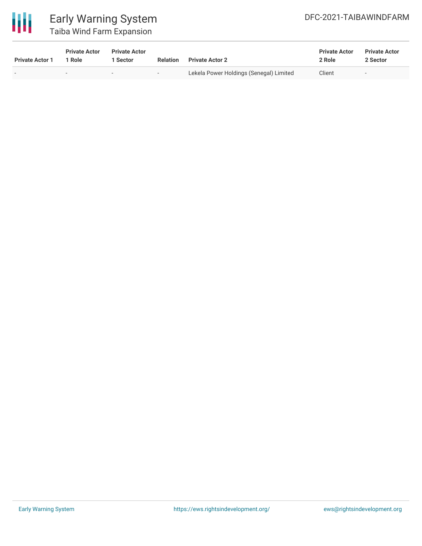

### Early Warning System Taiba Wind Farm Expansion

| <b>Private Actor 1</b> | <b>Private Actor</b><br>1 Role | <b>Private Actor</b><br>l Sector | <b>Relation</b> | <b>Private Actor 2</b>                  | <b>Private Actor</b><br>2 Role | <b>Private Actor</b><br>2 Sector |
|------------------------|--------------------------------|----------------------------------|-----------------|-----------------------------------------|--------------------------------|----------------------------------|
|                        | $\overline{\phantom{a}}$       | $\sim$                           | $-$             | Lekela Power Holdings (Senegal) Limited | Client                         | $\overline{\phantom{a}}$         |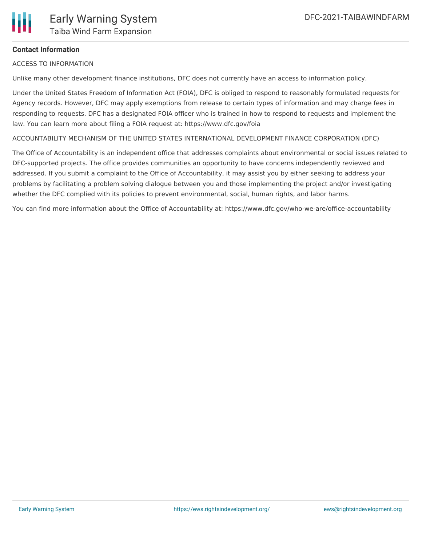

### **Contact Information**

ACCESS TO INFORMATION

Unlike many other development finance institutions, DFC does not currently have an access to information policy.

Under the United States Freedom of Information Act (FOIA), DFC is obliged to respond to reasonably formulated requests for Agency records. However, DFC may apply exemptions from release to certain types of information and may charge fees in responding to requests. DFC has a designated FOIA officer who is trained in how to respond to requests and implement the law. You can learn more about filing a FOIA request at: https://www.dfc.gov/foia

ACCOUNTABILITY MECHANISM OF THE UNITED STATES INTERNATIONAL DEVELOPMENT FINANCE CORPORATION (DFC)

The Office of Accountability is an independent office that addresses complaints about environmental or social issues related to DFC-supported projects. The office provides communities an opportunity to have concerns independently reviewed and addressed. If you submit a complaint to the Office of Accountability, it may assist you by either seeking to address your problems by facilitating a problem solving dialogue between you and those implementing the project and/or investigating whether the DFC complied with its policies to prevent environmental, social, human rights, and labor harms.

You can find more information about the Office of Accountability at: https://www.dfc.gov/who-we-are/office-accountability